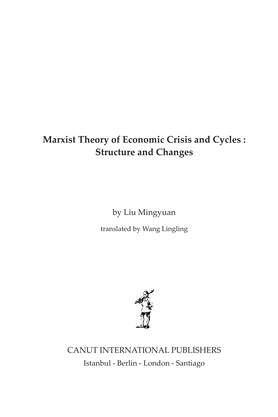# **Marxist Theory of Economic Crisis and Cycles : Structure and Changes**

by Liu Mingyuan

translated by Wang Lingling



CANUT INTERNATIONAL PUBLISHERS Istanbul - Berlin - London - Santiago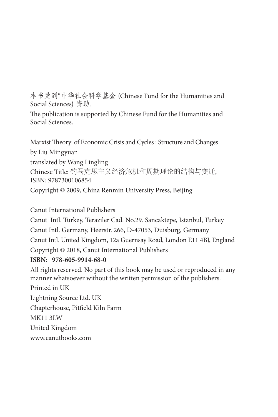本书受到"中华社会科学基金 (Chinese Fund for the Humanities and Social Sciences) 资助.

The publication is supported by Chinese Fund for the Humanities and Social Sciences.

Marxist Theory of Economic Crisis and Cycles : Structure and Changes by Liu Mingyuan translated by Wang Lingling Chinese Title: 钓马克思主义经济危机和周期理论的结构与变迁, ISBN: 9787300106854 Copyright © 2009, China Renmin University Press, Beijing

Canut International Publishers

Canut Intl. Turkey, Teraziler Cad. No.29. Sancaktepe, Istanbul, Turkey Canut Intl. Germany, Heerstr. 266, D-47053, Duisburg, Germany Canut Intl. United Kingdom, 12a Guernsay Road, London E11 4BJ, England Copyright © 2018, Canut International Publishers

### **ISBN: 978-605-9914-68-0**

All rights reserved. No part of this book may be used or reproduced in any manner whatsoever without the written permission of the publishers.

Printed in UK Lightning Source Ltd. UK Chapterhouse, Pitfield Kiln Farm MK11 3LW United Kingdom www.canutbooks.com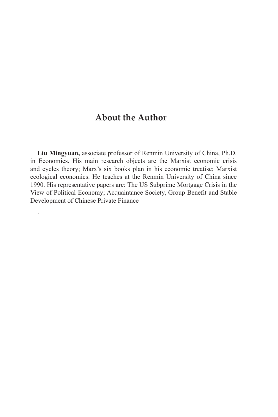# **About the Author**

**Liu Mingyuan,** associate professor of Renmin University of China, Ph.D. in Economics. His main research objects are the Marxist economic crisis and cycles theory; Marx's six books plan in his economic treatise; Marxist ecological economics. He teaches at the Renmin University of China since 1990. His representative papers are: The US Subprime Mortgage Crisis in the View of Political Economy; Acquaintance Society, Group Benefit and Stable Development of Chinese Private Finance

.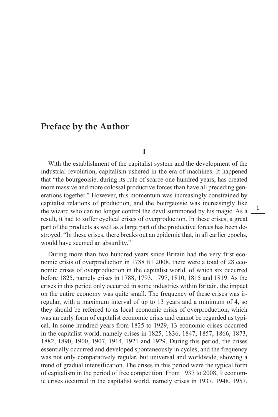### **Preface by the Author**

### **I**

With the establishment of the capitalist system and the development of the industrial revolution, capitalism ushered in the era of machines. It happened that "the bourgeoisie, during its rule of scarce one hundred years, has created more massive and more colossal productive forces than have all preceding generations together." However, this momentum was increasingly constrained by capitalist relations of production, and the bourgeoisie was increasingly like the wizard who can no longer control the devil summoned by his magic. As a result, it had to suffer cyclical crises of overproduction. In these crises, a great part of the products as well as a large part of the productive forces has been destroyed. "In these crises, there breaks out an epidemic that, in all earlier epochs, would have seemed an absurdity."

During more than two hundred years since Britain had the very first economic crisis of overproduction in 1788 till 2008, there were a total of 28 economic crises of overproduction in the capitalist world, of which six occurred before 1825, namely crises in 1788, 1793, 1797, 1810, 1815 and 1819. As the crises in this period only occurred in some industries within Britain, the impact on the entire economy was quite small. The frequency of these crises was irregular, with a maximum interval of up to 13 years and a minimum of 4, so they should be referred to as local economic crisis of overproduction, which was an early form of capitalist economic crisis and cannot be regarded as typical. In some hundred years from 1825 to 1929, 13 economic crises occurred in the capitalist world, namely crises in 1825, 1836, 1847, 1857, 1866, 1873, 1882, 1890, 1900, 1907, 1914, 1921 and 1929. During this period, the crises essentially occurred and developed spontaneously in cycles, and the frequency was not only comparatively regular, but universal and worldwide, showing a trend of gradual intensification. The crises in this period were the typical form of capitalism in the period of free competition. From 1937 to 2008, 9 economic crises occurred in the capitalist world, namely crises in 1937, 1948, 1957,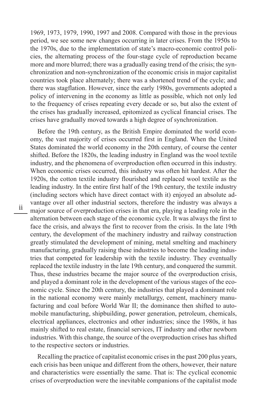1969, 1973, 1979, 1990, 1997 and 2008. Compared with those in the previous period, we see some new changes occurring in later crises. From the 1950s to the 1970s, due to the implementation of state's macro-economic control policies, the alternating process of the four-stage cycle of reproduction became more and more blurred; there was a gradually easing trend of the crisis; the synchronization and non-synchronization of the economic crisis in major capitalist countries took place alternately; there was a shortened trend of the cycle; and there was stagflation. However, since the early 1980s, governments adopted a policy of intervening in the economy as little as possible, which not only led to the frequency of crises repeating every decade or so, but also the extent of the crises has gradually increased, epitomized as cyclical financial crises. The crises have gradually moved towards a high degree of synchronization.

Before the 19th century, as the British Empire dominated the world economy, the vast majority of crises occurred first in England. When the United States dominated the world economy in the 20th century, of course the center shifted. Before the 1820s, the leading industry in England was the wool textile industry, and the phenomena of overproduction often occurred in this industry. When economic crises occurred, this industry was often hit hardest. After the 1920s, the cotton textile industry flourished and replaced wool textile as the leading industry. In the entire first half of the 19th century, the textile industry (including sectors which have direct contact with it) enjoyed an absolute advantage over all other industrial sectors, therefore the industry was always a major source of overproduction crises in that era, playing a leading role in the alternation between each stage of the economic cycle. It was always the first to face the crisis, and always the first to recover from the crisis. In the late 19th century, the development of the machinery industry and railway construction greatly stimulated the development of mining, metal smelting and machinery manufacturing, gradually raising these industries to become the leading industries that competed for leadership with the textile industry. They eventually replaced the textile industry in the late 19th century, and conquered the summit. Thus, these industries became the major source of the overproduction crisis, and played a dominant role in the development of the various stages of the economic cycle. Since the 20th century, the industries that played a dominant role in the national economy were mainly metallurgy, cement, machinery manufacturing and coal before World War II; the dominance then shifted to automobile manufacturing, shipbuilding, power generation, petroleum, chemicals, electrical appliances, electronics and other industries; since the 1980s, it has mainly shifted to real estate, financial services, IT industry and other newborn industries. With this change, the source of the overproduction crises has shifted to the respective sectors or industries.

Recalling the practice of capitalist economic crises in the past 200 plus years, each crisis has been unique and different from the others, however, their nature and characteristics were essentially the same. That is: The cyclical economic crises of overproduction were the inevitable companions of the capitalist mode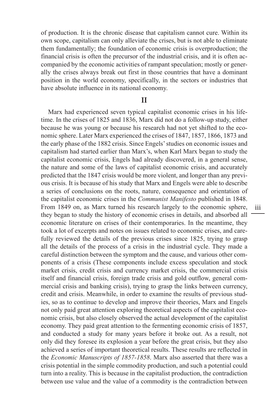of production. It is the chronic disease that capitalism cannot cure. Within its own scope, capitalism can only alleviate the crises, but is not able to eliminate them fundamentally; the foundation of economic crisis is overproduction; the financial crisis is often the precursor of the industrial crisis, and it is often accompanied by the economic activities of rampant speculation; mostly or generally the crises always break out first in those countries that have a dominant position in the world economy, specifically, in the sectors or industries that have absolute influence in its national economy.

#### **II**

Marx had experienced seven typical capitalist economic crises in his lifetime. In the crises of 1825 and 1836, Marx did not do a follow-up study, either because he was young or because his research had not yet shifted to the economic sphere. Later Marx experienced the crises of 1847, 1857, 1866, 1873 and the early phase of the 1882 crisis. Since Engels' studies on economic issues and capitalism had started earlier than Marx's, when Karl Marx began to study the capitalist economic crisis, Engels had already discovered, in a general sense, the nature and some of the laws of capitalist economic crisis, and accurately predicted that the 1847 crisis would be more violent, and longer than any previous crisis. It is because of his study that Marx and Engels were able to describe a series of conclusions on the roots, nature, consequence and orientation of the capitalist economic crises in the *Communist Manifesto* published in 1848. From 1849 on, as Marx turned his research largely to the economic sphere, they began to study the history of economic crises in details, and absorbed all economic literature on crises of their contemporaries. In the meantime, they took a lot of excerpts and notes on issues related to economic crises, and carefully reviewed the details of the previous crises since 1825, trying to grasp all the details of the process of a crisis in the industrial cycle. They made a careful distinction between the symptom and the cause, and various other components of a crisis (These components include excess speculation and stock market crisis, credit crisis and currency market crisis, the commercial crisis itself and financial crisis, foreign trade crisis and gold outflow, general commercial crisis and banking crisis), trying to grasp the links between currency, credit and crisis. Meanwhile, in order to examine the results of previous studies, so as to continue to develop and improve their theories, Marx and Engels not only paid great attention exploring theoretical aspects of the capitalist economic crisis, but also closely observed the actual development of the capitalist economy. They paid great attention to the fermenting economic crisis of 1857, and conducted a study for many years before it broke out. As a result, not only did they foresee its explosion a year before the great crisis, but they also achieved a series of important theoretical results. These results are reflected in the *Economic Manuscripts of 1857-1858*. Marx also asserted that there was a crisis potential in the simple commodity production, and such a potential could turn into a reality. This is because in the capitalist production, the contradiction between use value and the value of a commodity is the contradiction between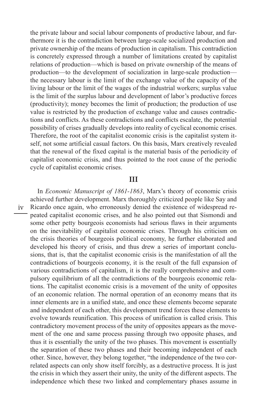the private labour and social labour components of productive labour, and furthermore it is the contradiction between large-scale socialized production and private ownership of the means of production in capitalism. This contradiction is concretely expressed through a number of limitations created by capitalist relations of production—which is based on private ownership of the means of production—to the development of socialization in large-scale production the necessary labour is the limit of the exchange value of the capacity of the living labour or the limit of the wages of the industrial workers; surplus value is the limit of the surplus labour and development of labor's productive forces (productivity); money becomes the limit of production; the production of use value is restricted by the production of exchange value and causes contradictions and conflicts. As these contradictions and conflicts escalate, the potential possibility of crises gradually develops into reality of cyclical economic crises. Therefore, the root of the capitalist economic crisis is the capitalist system itself, not some artificial casual factors. On this basis, Marx creatively revealed that the renewal of the fixed capital is the material basis of the periodicity of capitalist economic crisis, and thus pointed to the root cause of the periodic cycle of capitalist economic crises.

#### **III**

In *Economic Manuscript of 1861-1863*, Marx's theory of economic crisis achieved further development. Marx thoroughly criticized people like Say and Ricardo once again, who erroneously denied the existence of widespread repeated capitalist economic crises, and he also pointed out that Sismondi and some other petty bourgeois economists had serious flaws in their arguments on the inevitability of capitalist economic crises. Through his criticism on the crisis theories of bourgeois political economy, he further elaborated and developed his theory of crisis, and thus drew a series of important conclusions, that is, that the capitalist economic crisis is the manifestation of all the contradictions of bourgeois economy, it is the result of the full expansion of various contradictions of capitalism, it is the really comprehensive and compulsory equilibrium of all the contradictions of the bourgeois economic relations. The capitalist economic crisis is a movement of the unity of opposites of an economic relation. The normal operation of an economy means that its inner elements are in a unified state, and once these elements become separate and independent of each other, this development trend forces these elements to evolve towards reunification. This process of unification is called crisis. This contradictory movement process of the unity of opposites appears as the movement of the one and same process passing through two opposite phases, and thus it is essentially the unity of the two phases. This movement is essentially the separation of these two phases and their becoming independent of each other. Since, however, they belong together, "the independence of the two correlated aspects can only show itself forcibly, as a destructive process. It is just the crisis in which they assert their unity, the unity of the different aspects. The independence which these two linked and complementary phases assume in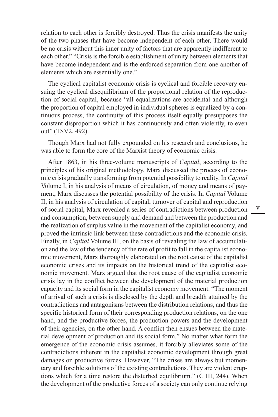relation to each other is forcibly destroyed. Thus the crisis manifests the unity of the two phases that have become independent of each other. There would be no crisis without this inner unity of factors that are apparently indifferent to each other." "Crisis is the forcible establishment of unity between elements that have become independent and is the enforced separation from one another of elements which are essentially one."

The cyclical capitalist economic crisis is cyclical and forcible recovery ensuing the cyclical disequilibrium of the proportional relation of the reproduction of social capital, because "all equalizations are accidental and although the proportion of capital employed in individual spheres is equalized by a continuous process, the continuity of this process itself equally presupposes the constant disproportion which it has continuously and often violently, to even out" (TSV2, 492).

Though Marx had not fully expounded on his research and conclusions, he was able to form the core of the Marxist theory of economic crisis.

After 1863, in his three-volume manuscripts of *Capital*, according to the principles of his original methodology, Marx discussed the process of economic crisis gradually transforming from potential possibility to reality. In *Capital* Volume I, in his analysis of means of circulation, of money and means of payment, Marx discusses the potential possibility of the crisis. In *Capital* Volume II, in his analysis of circulation of capital, turnover of capital and reproduction of social capital, Marx revealed a series of contradictions between production and consumption, between supply and demand and between the production and the realization of surplus value in the movement of the capitalist economy, and proved the intrinsic link between these contradictions and the economic crisis. Finally, in *Capital* Volume III, on the basis of revealing the law of accumulation and the law of the tendency of the rate of profit to fall in the capitalist economic movement, Marx thoroughly elaborated on the root cause of the capitalist economic crises and its impacts on the historical trend of the capitalist economic movement. Marx argued that the root cause of the capitalist economic crisis lay in the conflict between the development of the material production capacity and its social form in the capitalist economy movement: "The moment of arrival of such a crisis is disclosed by the depth and breadth attained by the contradictions and antagonisms between the distribution relations, and thus the specific historical form of their corresponding production relations, on the one hand, and the productive forces, the production powers and the development of their agencies, on the other hand. A conflict then ensues between the material development of production and its social form." No matter what form the emergence of the economic crisis assumes, it forcibly alleviates some of the contradictions inherent in the capitalist economic development through great damages on productive forces. However, "The crises are always but momentary and forcible solutions of the existing contradictions. They are violent eruptions which for a time restore the disturbed equilibrium." (C III, 244). When the development of the productive forces of a society can only continue relying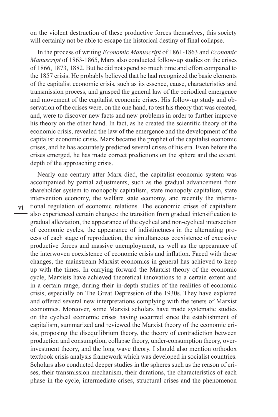on the violent destruction of these productive forces themselves, this society will certainly not be able to escape the historical destiny of final collapse.

In the process of writing *Economic Manuscript* of 1861-1863 and *Economic Manuscript* of 1863-1865, Marx also conducted follow-up studies on the crises of 1866, 1873, 1882. But he did not spend so much time and effort compared to the 1857 crisis. He probably believed that he had recognized the basic elements of the capitalist economic crisis, such as its essence, cause, characteristics and transmission process, and grasped the general law of the periodical emergence and movement of the capitalist economic crises. His follow-up study and observation of the crises were, on the one hand, to test his theory that was created, and, were to discover new facts and new problems in order to further improve his theory on the other hand. In fact, as he created the scientific theory of the economic crisis, revealed the law of the emergence and the development of the capitalist economic crisis, Marx became the prophet of the capitalist economic crises, and he has accurately predicted several crises of his era. Even before the crises emerged, he has made correct predictions on the sphere and the extent, depth of the approaching crisis.

Nearly one century after Marx died, the capitalist economic system was accompanied by partial adjustments, such as the gradual advancement from shareholder system to monopoly capitalism, state monopoly capitalism, state intervention economy, the welfare state economy, and recently the international regulation of economic relations. The economic crises of capitalism also experienced certain changes: the transition from gradual intensification to gradual alleviation, the appearance of the cyclical and non-cyclical intersection of economic cycles, the appearance of indistinctness in the alternating process of each stage of reproduction, the simultaneous coexistence of excessive productive forces and massive unemployment, as well as the appearance of the interwoven coexistence of economic crisis and inflation. Faced with these changes, the mainstream Marxist economics in general has achieved to keep up with the times. In carrying forward the Marxist theory of the economic cycle, Marxists have achieved theoretical innovations to a certain extent and in a certain range, during their in-depth studies of the realities of economic crisis, especially on The Great Depression of the 1930s. They have explored and offered several new interpretations complying with the tenets of Marxist economics. Moreover, some Marxist scholars have made systematic studies on the cyclical economic crises having occurred since the establishment of capitalism, summarized and reviewed the Marxist theory of the economic crisis, proposing the disequilibrium theory, the theory of contradiction between production and consumption, collapse theory, under-consumption theory, overinvestment theory, and the long wave theory. I should also mention orthodox textbook crisis analysis framework which was developed in socialist countries. Scholars also conducted deeper studies in the spheres such as the reason of crises, their transmission mechanism, their durations, the characteristics of each phase in the cycle, intermediate crises, structural crises and the phenomenon

vi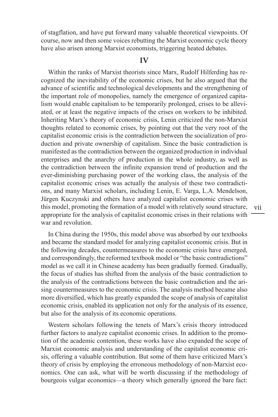of stagflation, and have put forward many valuable theoretical viewpoints. Of course, now and then some voices rebutting the Marxist economic cycle theory have also arisen among Marxist economists, triggering heated debates.

#### **IV**

Within the ranks of Marxist theorists since Marx, Rudolf Hilferding has recognized the inevitability of the economic crises, but he also argued that the advance of scientific and technological developments and the strengthening of the important role of monopolies, namely the emergence of organized capitalism would enable capitalism to be temporarily prolonged, crises to be alleviated, or at least the negative impacts of the crises on workers to be inhibited. Inheriting Marx's theory of economic crisis, Lenin criticized the non-Marxist thoughts related to economic crises, by pointing out that the very root of the capitalist economic crisis is the contradiction between the socialization of production and private ownership of capitalism. Since the basic contradiction is manifested as the contradiction between the organized production in individual enterprises and the anarchy of production in the whole industry, as well as the contradiction between the infinite expansion trend of production and the ever-diminishing purchasing power of the working class, the analysis of the capitalist economic crises was actually the analysis of these two contradictions, and many Marxist scholars, including Lenin, E. Varga, L.A. Mendelson, Jürgen Kuczynski and others have analyzed capitalist economic crises with this model, promoting the formation of a model with relatively sound structure, appropriate for the analysis of capitalist economic crises in their relations with war and revolution.

In China during the 1950s, this model above was absorbed by our textbooks and became the standard model for analyzing capitalist economic crisis. But in the following decades, countermeasures to the economic crisis have emerged, and correspondingly, the reformed textbook model or "the basic contradictions" model as we call it in Chinese academy has been gradually formed. Gradually, the focus of studies has shifted from the analysis of the basic contradiction to the analysis of the contradictions between the basic contradiction and the arising countermeasures to the economic crisis. The analysis method became also more diversified, which has greatly expanded the scope of analysis of capitalist economic crisis, enabled its application not only for the analysis of its essence, but also for the analysis of its economic operations.

Western scholars following the tenets of Marx's crisis theory introduced further factors to analyze capitalist economic crises. In addition to the promotion of the academic contention, these works have also expanded the scope of Marxist economic analysis and understanding of the capitalist economic crisis, offering a valuable contribution. But some of them have criticized Marx's theory of crisis by employing the erroneous methodology of non-Marxist economics. One can ask, what will be worth discussing if the methodology of bourgeois vulgar economics—a theory which generally ignored the bare fact: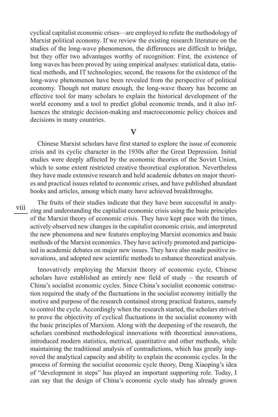cyclical capitalist economic crises—are employed to refute the methodology of Marxist political economy. If we review the existing research literature on the studies of the long-wave phenomenon, the differences are difficult to bridge, but they offer two advantages worthy of recognition: First, the existence of long waves has been proved by using empirical analyses: statistical data, statistical methods, and IT technologies; second, the reasons for the existence of the long-wave phenomenon have been revealed from the perspective of political economy. Though not mature enough, the long-wave theory has become an effective tool for many scholars to explain the historical development of the world economy and a tool to predict global economic trends, and it also influences the strategic decision-making and macroeconomic policy choices and decisions in many countries.

**V**

Chinese Marxist scholars have first started to explore the issue of economic crisis and its cyclic character in the 1930s after the Great Depression. Initial studies were deeply affected by the economic theories of the Soviet Union, which to some extent restricted creative theoretical exploration. Nevertheless they have made extensive research and held academic debates on major theories and practical issues related to economic crises, and have published abundant books and articles, among which many have achieved breakthroughs.

viii

The fruits of their studies indicate that they have been successful in analyzing and understanding the capitalist economic crisis using the basic principles of the Marxist theory of economic crisis. They have kept pace with the times, actively observed new changes in the capitalist economic crisis, and interpreted the new phenomena and new features employing Marxist economics and basic methods of the Marxist economics. They have actively promoted and participated in academic debates on major new issues. They have also made positive innovations, and adopted new scientific methods to enhance theoretical analysis.

Innovatively employing the Marxist theory of economic cycle, Chinese scholars have established an entirely new field of study – the research of China's socialist economic cycles. Since China's socialist economic construction required the study of the fluctuations in the socialist economy initially the motive and purpose of the research contained strong practical features, namely to control the cycle. Accordingly when the research started, the scholars strived to prove the objectivity of cyclical fluctuations in the socialist economy with the basic principles of Marxism. Along with the deepening of the research, the scholars combined methodological innovations with theoretical innovations, introduced modern statistics, metrical, quantitative and other methods, while maintaining the traditional analysis of contradictions, which has greatly improved the analytical capacity and ability to explain the economic cycles. In the process of forming the socialist economic cycle theory, Deng Xiaoping's idea of "development in steps" has played an important supporting role. Today, I can say that the design of China's economic cycle study has already grown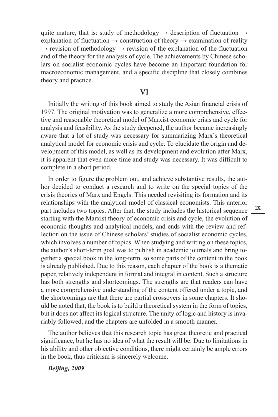quite mature, that is: study of methodology  $\rightarrow$  description of fluctuation  $\rightarrow$ explanation of fluctuation  $\rightarrow$  construction of theory  $\rightarrow$  examination of reality  $\rightarrow$  revision of methodology  $\rightarrow$  revision of the explanation of the fluctuation and of the theory for the analysis of cycle. The achievements by Chinese scholars on socialist economic cycles have become an important foundation for macroeconomic management, and a specific discipline that closely combines theory and practice.

#### **VI**

Initially the writing of this book aimed to study the Asian financial crisis of 1997. The original motivation was to generalize a more comprehensive, effective and reasonable theoretical model of Marxist economic crisis and cycle for analysis and feasibility. As the study deepened, the author became increasingly aware that a lot of study was necessary for summarizing Marx's theoretical analytical model for economic crisis and cycle. To elucidate the origin and development of this model, as well as its development and evolution after Marx, it is apparent that even more time and study was necessary. It was difficult to complete in a short period.

In order to figure the problem out, and achieve substantive results, the author decided to conduct a research and to write on the special topics of the crisis theories of Marx and Engels. This needed revisiting its formation and its relationships with the analytical model of classical economists. This anterior part includes two topics. After that, the study includes the historical sequence starting with the Marxist theory of economic crisis and cycle, the evolution of economic thoughts and analytical models, and ends with the review and reflection on the issue of Chinese scholars' studies of socialist economic cycles, which involves a number of topics. When studying and writing on these topics, the author's short-term goal was to publish in academic journals and bring together a special book in the long-term, so some parts of the content in the book is already published. Due to this reason, each chapter of the book is a thematic paper, relatively independent in format and integral in content. Such a structure has both strengths and shortcomings. The strengths are that readers can have a more comprehensive understanding of the content offered under a topic, and the shortcomings are that there are partial crossovers in some chapters. It should be noted that, the book is to build a theoretical system in the form of topics, but it does not affect its logical structure. The unity of logic and history is invariably followed, and the chapters are unfolded in a smooth manner.

The author believes that this research topic has great theoretic and practical significance, but he has no idea of what the result will be. Due to limitations in his ability and other objective conditions, there might certainly be ample errors in the book, thus criticism is sincerely welcome.

*Beijing, 2009*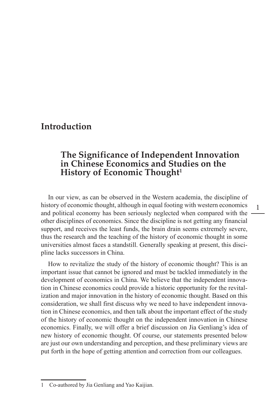# **Introduction**

## **The Significance of Independent Innovation in Chinese Economics and Studies on the History of Economic Thought<sup>1</sup>**

In our view, as can be observed in the Western academia, the discipline of history of economic thought, although in equal footing with western economics and political economy has been seriously neglected when compared with the other disciplines of economics. Since the discipline is not getting any financial support, and receives the least funds, the brain drain seems extremely severe, thus the research and the teaching of the history of economic thought in some universities almost faces a standstill. Generally speaking at present, this discipline lacks successors in China.

How to revitalize the study of the history of economic thought? This is an important issue that cannot be ignored and must be tackled immediately in the development of economics in China. We believe that the independent innovation in Chinese economics could provide a historic opportunity for the revitalization and major innovation in the history of economic thought. Based on this consideration, we shall first discuss why we need to have independent innovation in Chinese economics, and then talk about the important effect of the study of the history of economic thought on the independent innovation in Chinese economics. Finally, we will offer a brief discussion on Jia Genliang's idea of new history of economic thought. Of course, our statements presented below are just our own understanding and perception, and these preliminary views are put forth in the hope of getting attention and correction from our colleagues.

1

<sup>1</sup> Co-authored by Jia Genliang and Yao Kaijian.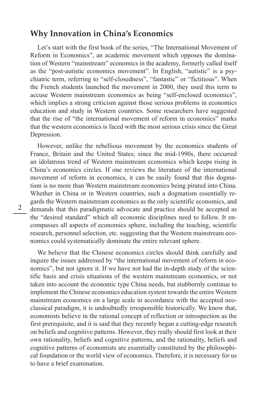### **Why Innovation in China's Economics**

Let's start with the first book of the series, "The International Movement of Reform in Economics", an academic movement which opposes the domination of Western "mainstream" economics in the academy, formerly called itself as the "post-autistic economics movement". In English, "autistic" is a psychiatric term, referring to "self-closedness", "fantastic" or "fictitious". When the French students launched the movement in 2000, they used this term to accuse Western mainstream economics as being "self-enclosed economics", which implies a strong criticism against those serious problems in economics education and study in Western countries. Some researchers have suggested that the rise of "the international movement of reform in economics" marks that the western economics is faced with the most serious crisis since the Great Depression.

However, unlike the rebellious movement by the economics students of France, Britain and the United States; since the mid-1990s, there occurred an idolatrous trend of Western mainstream economics which keeps rising in China's economics circles. If one reviews the literature of the international movement of reform in economics, it can be easily found that this dogmatism is no more than Western mainstream economics being pirated into China. Whether in China or in Western countries, such a dogmatism essentially regards the Western mainstream economics as the only scientific economics, and demands that this paradigmatic advocate and practice should be accepted as the "desired standard" which all economic disciplines need to follow. It encompasses all aspects of economics sphere, including the teaching, scientific research, personnel selection, etc. suggesting that the Western mainstream economics could systematically dominate the entire relevant sphere.

We believe that the Chinese economics circles should think carefully and inquire the issues addressed by "the international movement of reform in economics", but not ignore it. If we have not had the in-depth study of the scientific basis and crisis situations of the western mainstream economics, or not taken into account the economic type China needs, but stubbornly continue to implement the Chinese economics education system towards the entire Western mainstream economics on a large scale in accordance with the accepted neoclassical paradigm, it is undoubtedly irresponsible historically. We know that, economists believe in the rational concept of reflection or introspection as the first prerequisite, and it is said that they recently began a cutting-edge research on beliefs and cognitive patterns. However, they really should first look at their own rationality, beliefs and cognitive patterns, and the rationality, beliefs and cognitive patterns of economists are essentially constituted by the philosophical foundation or the world view of economics. Therefore, it is necessary for us to have a brief examination.

2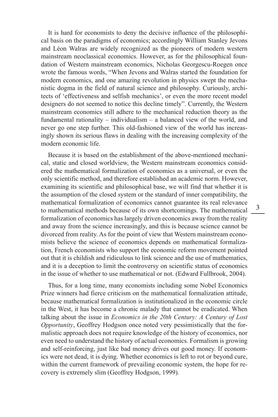It is hard for economists to deny the decisive influence of the philosophical basis on the paradigms of economics; accordingly William Stanley Jevons and Léon Walras are widely recognized as the pioneers of modern western mainstream neoclassical economics. However, as for the philosophical foundation of Western mainstream economics, Nicholas Georgescu-Roegen once wrote the famous words, "When Jevons and Walras started the foundation for modern economics, and one amazing revolution in physics swept the mechanistic dogma in the field of natural science and philosophy. Curiously, architects of 'effectiveness and selfish mechanics', or even the more recent model designers do not seemed to notice this decline timely". Currently, the Western mainstream economics still adhere to the mechanical reduction theory as the fundamental rationality – individualism – a balanced view of the world, and never go one step further. This old-fashioned view of the world has increasingly shown its serious flaws in dealing with the increasing complexity of the modern economic life.

Because it is based on the establishment of the above-mentioned mechanical, static and closed worldview, the Western mainstream economics considered the mathematical formalization of economics as a universal, or even the only scientific method, and therefore established an academic norm. However, examining its scientific and philosophical base, we will find that whether it is the assumption of the closed system or the standard of inner compatibility, the mathematical formalization of economics cannot guarantee its real relevance to mathematical methods because of its own shortcomings. The mathematical formalization of economics has largely driven economics away from the reality and away from the science increasingly, and this is because science cannot be divorced from reality. As for the point of view that Western mainstream economists believe the science of economics depends on mathematical formalization, French economists who support the economic reform movement pointed out that it is childish and ridiculous to link science and the use of mathematics, and it is a deception to limit the controversy on scientific status of economics in the issue of whether to use mathematical or not. (Edward Fullbrook, 2004).

Thus, for a long time, many economists including some Nobel Economics Prize winners had fierce criticism on the mathematical formalization attitude, because mathematical formalization is institutionalized in the economic circle in the West, it has become a chronic malady that cannot be eradicated. When talking about the issue in *Economics in the 20th Century: A Century of Lost Opportunity*, Geoffrey Hodgson once noted very pessimistically that the formalistic approach does not require knowledge of the history of economics, nor even need to understand the history of actual economics. Formalism is growing and self-reinforcing, just like bad money drives out good money. If economics were not dead, it is dying. Whether economics is left to rot or beyond cure, within the current framework of prevailing economic system, the hope for recovery is extremely slim (Geoffrey Hodgson, 1999).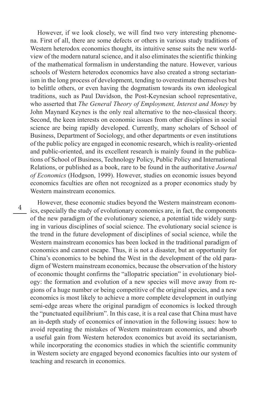However, if we look closely, we will find two very interesting phenomena. First of all, there are some defects or others in various study traditions of Western heterodox economics thought, its intuitive sense suits the new worldview of the modern natural science, and it also eliminates the scientific thinking of the mathematical formalism in understanding the nature. However, various schools of Western heterodox economics have also created a strong sectarianism in the long process of development, tending to overestimate themselves but to belittle others, or even having the dogmatism towards its own ideological traditions, such as Paul Davidson, the Post-Keynesian school representative, who asserted that *The General Theory of Employment, Interest and Money* by John Maynard Keynes is the only real alternative to the neo-classical theory. Second, the keen interests on economic issues from other disciplines in social science are being rapidly developed. Currently, many scholars of School of Business, Department of Sociology, and other departments or even institutions of the public policy are engaged in economic research, which is reality-oriented and public-oriented, and its excellent research is mainly found in the publications of School of Business, Technology Policy, Public Policy and International Relations, or published as a book, rare to be found in the authoritative *Journal of Economics* (Hodgson, 1999). However, studies on economic issues beyond economics faculties are often not recognized as a proper economics study by Western mainstream economics.

4

However, these economic studies beyond the Western mainstream economics, especially the study of evolutionary economics are, in fact, the components of the new paradigm of the evolutionary science, a potential tide widely surging in various disciplines of social science. The evolutionary social science is the trend in the future development of disciplines of social science, while the Western mainstream economics has been locked in the traditional paradigm of economics and cannot escape. Thus, it is not a disaster, but an opportunity for China's economics to be behind the West in the development of the old paradigm of Western mainstream economics, because the observation of the history of economic thought confirms the "allopatric speciation" in evolutionary biology: the formation and evolution of a new species will move away from regions of a huge number or being competitive of the original species, and a new economics is most likely to achieve a more complete development in outlying semi-edge areas where the original paradigm of economics is locked through the "punctuated equilibrium". In this case, it is a real case that China must have an in-depth study of economics of innovation in the following issues: how to avoid repeating the mistakes of Western mainstream economics, and absorb a useful gain from Western heterodox economics but avoid its sectarianism, while incorporating the economics studies in which the scientific community in Western society are engaged beyond economics faculties into our system of teaching and research in economics.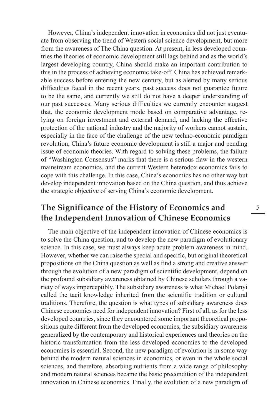However, China's independent innovation in economics did not just eventuate from observing the trend of Western social science development, but more from the awareness of The China question. At present, in less developed countries the theories of economic development still lags behind and as the world's largest developing country, China should make an important contribution to this in the process of achieving economic take-off. China has achieved remarkable success before entering the new century, but as alerted by many serious difficulties faced in the recent years, past success does not guarantee future to be the same, and currently we still do not have a deeper understanding of our past successes. Many serious difficulties we currently encounter suggest that, the economic development mode based on comparative advantage, relying on foreign investment and external demand, and lacking the effective protection of the national industry and the majority of workers cannot sustain, especially in the face of the challenge of the new techno-economic paradigm revolution, China's future economic development is still a major and pending issue of economic theories. With regard to solving these problems, the failure of "Washington Consensus" marks that there is a serious flaw in the western mainstream economics, and the current Western heterodox economics fails to cope with this challenge. In this case, China's economics has no other way but develop independent innovation based on the China question, and thus achieve the strategic objective of serving China's economic development.

# **The Significance of the History of Economics and the Independent Innovation of Chinese Economics**

The main objective of the independent innovation of Chinese economics is to solve the China question, and to develop the new paradigm of evolutionary science. In this case, we must always keep acute problem awareness in mind. However, whether we can raise the special and specific, but original theoretical propositions on the China question as well as find a strong and creative answer through the evolution of a new paradigm of scientific development, depend on the profound subsidiary awareness obtained by Chinese scholars through a variety of ways imperceptibly. The subsidiary awareness is what Michael Polanyi called the tacit knowledge inherited from the scientific tradition or cultural traditions. Therefore, the question is what types of subsidiary awareness does Chinese economics need for independent innovation? First of all, as for the less developed countries, since they encountered some important theoretical propositions quite different from the developed economies, the subsidiary awareness generalized by the contemporary and historical experiences and theories on the historic transformation from the less developed economies to the developed economies is essential. Second, the new paradigm of evolution is in some way behind the modern natural sciences in economics, or even in the whole social sciences, and therefore, absorbing nutrients from a wide range of philosophy and modern natural sciences became the basic precondition of the independent innovation in Chinese economics. Finally, the evolution of a new paradigm of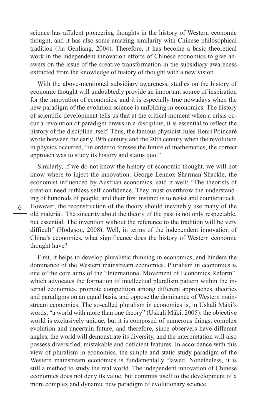science has affulent pioneering thoughts in the history of Western economic thought, and it has also some amazing similarity with Chinese philosophical tradition (Jia Genliang, 2004). Therefore, it has become a basic theoretical work in the independent innovation efforts of Chinese economics to give answers on the issue of the creative transformation in the subsidiary awareness extracted from the knowledge of history of thought with a new vision.

With the above-mentioned subsidiary awareness, studies on the history of economic thought will undoubtedly provide an important source of inspiration for the innovation of economics, and it is especially true nowadays when the new paradigm of the evolution science is unfolding in economics. The history of scientific development tells us that at the critical moment when a crisis occur a revolution of paradigm brews in a discipline, it is essential to reflect the history of the discipline itself. Thus, the famous physicist Jules Henri Poincaré wrote between the early 19th century and the 20th century when the revolution in physics occurred, "in order to foresee the future of mathematics, the correct approach was to study its history and status quo."

Similarly, if we do not know the history of economic thought, we will not know where to inject the innovation. George Lennox Sharman Shackle, the economist influenced by Austrian economics, said it well: "The theorists of creation need ruthless self-confidence. They must overthrow the understanding of hundreds of people, and their first instinct is to resist and counterattack. However, the reconstruction of the theory should inevitably use many of the old material. The sincerity about the theory of the past is not only respectable, but essential. The invention without the reference to the tradition will be very difficult" (Hodgson, 2008). Well, in terms of the independent innovation of China's economics, what significance does the history of Western economic thought have?

First, it helps to develop pluralistic thinking in economics, and hinders the dominance of the Western mainstream economics. Pluralism in economics is one of the core aims of the "International Movement of Economics Reform", which advocates the formation of intellectual pluralism pattern within the internal economics, promote competition among different approaches, theories and paradigms on an equal basis, and oppose the dominance of Western mainstream economics. The so-called pluralism in economics is, in Uskali Mäki's words, "a world with more than one theory" (Uskali Mäki, 2005): the objective world is exclusively unique, but it is composed of numerous things, complex evolution and uncertain future, and therefore, since observers have different angles, the world will demonstrate its diversity, and the interpretation will also possess diversified, mistakable and deficient features. In accordance with this view of pluralism in economics, the simple and static study paradigm of the Western mainstream economics is fundamentally flawed. Nonetheless, it is still a method to study the real world. The independent innovation of Chinese economics does not deny its value, but commits itself to the development of a more complex and dynamic new paradigm of evolutionary science.

6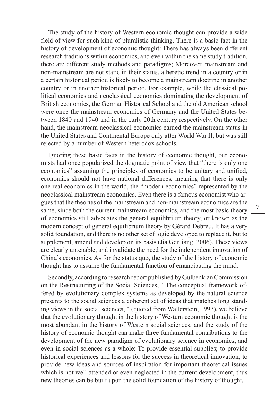The study of the history of Western economic thought can provide a wide field of view for such kind of pluralistic thinking. There is a basic fact in the history of development of economic thought: There has always been different research traditions within economics, and even within the same study tradition, there are different study methods and paradigms; Moreover, mainstream and non-mainstream are not static in their status, a heretic trend in a country or in a certain historical period is likely to become a mainstream doctrine in another country or in another historical period. For example, while the classical political economics and neoclassical economics dominating the development of British economics, the German Historical School and the old American school were once the mainstream economics of Germany and the United States between 1840 and 1940 and in the early 20th century respectively. On the other hand, the mainstream neoclassical economics earned the mainstream status in the United States and Continental Europe only after World War II, but was still rejected by a number of Western heterodox schools.

Ignoring these basic facts in the history of economic thought, our economists had once popularized the dogmatic point of view that "there is only one economics" assuming the principles of economics to be unitary and unified, economics should not have national differences, meaning that there is only one real economics in the world, the "modern economics" represented by the neoclassical mainstream economics. Even there is a famous economist who argues that the theories of the mainstream and non-mainstream economics are the same, since both the current mainstream economics, and the most basic theory of economics still advocates the general equilibrium theory, or known as the modern concept of general equilibrium theory by Gérard Debreu. It has a very solid foundation, and there is no other set of logic developed to replace it, but to supplement, amend and develop on its basis (Jia Genliang, 2006). These views are clearly untenable, and invalidate the need for the independent innovation of China's economics. As for the status quo, the study of the history of economic thought has to assume the fundamental function of emancipating the mind.

Secondly, according to research report published by Gulbenkian Commission on the Restructuring of the Social Sciences, " The conceptual framework offered by evolutionary complex systems as developed by the natural science presents to the social sciences a coherent set of ideas that matches long standing views in the social sciences, " (quoted from Wallerstein, 1997), we believe that the evolutionary thought in the history of Western economic thought is the most abundant in the history of Western social sciences, and the study of the history of economic thought can make three fundamental contributions to the development of the new paradigm of evolutionary science in economics, and even in social sciences as a whole: To provide essential supplies; to provide historical experiences and lessons for the success in theoretical innovation; to provide new ideas and sources of inspiration for important theoretical issues which is not well attended or even neglected in the current development, thus new theories can be built upon the solid foundation of the history of thought.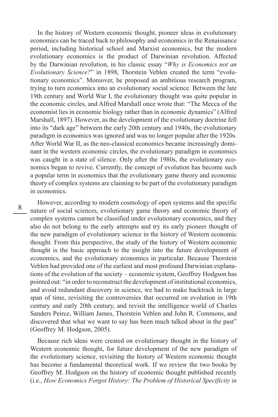In the history of Western economic thought, pioneer ideas in evolutionary economics can be traced back to philosophy and economics in the Renaissance period, including historical school and Marxist economics, but the modern evolutionary economics is the product of Darwinian revolution. Affected by the Darwinian revolution, in his classic essay "*Why is Economics not an Evolutionary Science?*" in 1898, Thorstein Veblen created the term "evolutionary economics". Moreover, he proposed an ambitious research program, trying to turn economics into an evolutionary social science. Between the late 19th century and World War I, the evolutionary thought was quite popular in the economic circles, and Alfred Marshall once wrote that: "The Mecca of the economist lies in economic biology rather than in economic dynamics" (Alfred Marshall, 1897). However, as the development of the evolutionary doctrine fell into its "dark age" between the early 20th century and 1940s, the evolutionary paradigm in economics was ignored and was no longer popular after the 1920s. After World War II, as the neo-classical economics became increasingly dominant in the western economic circles, the evolutionary paradigm in economics was caught in a state of silence. Only after the 1980s, the evolutionary economics began to revive. Currently, the concept of evolution has become such a popular term in economics that the evolutionary game theory and economic theory of complex systems are claiming to be part of the evolutionary paradigm in economics.

However, according to modern cosmology of open systems and the specific nature of social sciences, evolutionary game theory and economic theory of complex systems cannot be classified under evolutionary economics, and they also do not belong to the early attempts and try its early pioneer thought of the new paradigm of evolutionary science in the history of Western economic thought. From this perspective, the study of the history of Western economic thought is the basic approach to the insight into the future development of economics, and the evolutionary economics in particular. Because Thorstein Veblen had provided one of the earliest and most profound Darwinian explanations of the evolution of the society – economic system, Geoffrey Hodgson has pointed out: "in order to reconstruct the development of institutional economics, and avoid redundant discovery in science, we had to make backtrack in large span of time, revisiting the controversies that occurred on evolution in 19th century and early 20th century, and revisit the intelligence world of Charles Sanders Peirce, William James, Thorstein Veblen and John R. Commons, and discovered that what we want to say has been much talked about in the past" (Geoffrey M. Hodgson, 2005).

Because rich ideas were created on evolutionary thought in the history of Western economic thought, for future development of the new paradigm of the evolutionary science, revisiting the history of Western economic thought has become a fundamental theoretical work. If we review the two books by Geoffrey M. Hodgson on the history of economic thought published recently (i.e., *How Economics Forgot History: The Problem of Historical Specificity in*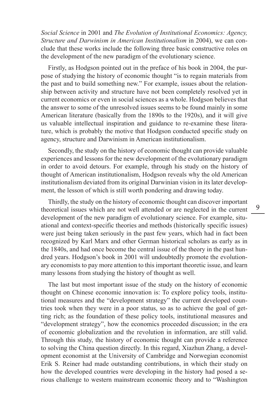*Social Science* in 2001 and *The Evolution of Institutional Economics: Agency, Structure and Darwinism in American Institutionalism* in 2004), we can conclude that these works include the following three basic constructive roles on the development of the new paradigm of the evolutionary science.

Firstly, as Hodgson pointed out in the preface of his book in 2004, the purpose of studying the history of economic thought "is to regain materials from the past and to build something new." For example, issues about the relationship between activity and structure have not been completely resolved yet in current economics or even in social sciences as a whole. Hodgson believes that the answer to some of the unresolved issues seems to be found mainly in some American literature (basically from the 1890s to the 1920s), and it will give us valuable intellectual inspiration and guidance to re-examine these literature, which is probably the motive that Hodgson conducted specific study on agency, structure and Darwinism in American institutionalism.

Secondly, the study on the history of economic thought can provide valuable experiences and lessons for the new development of the evolutionary paradigm in order to avoid detours. For example, through his study on the history of thought of American institutionalism, Hodgson reveals why the old American institutionalism deviated from its original Darwinian vision in its later development, the lesson of which is still worth pondering and drawing today.

Thirdly, the study on the history of economic thought can discover important theoretical issues which are not well attended or are neglected in the current development of the new paradigm of evolutionary science. For example, situational and context-specific theories and methods (historically specific issues) were just being taken seriously in the past few years, which had in fact been recognized by Karl Marx and other German historical scholars as early as in the 1840s, and had once become the central issue of the theory in the past hundred years. Hodgson's book in 2001 will undoubtedly promote the evolutionary economists to pay more attention to this important theoretic issue, and learn many lessons from studying the history of thought as well.

The last but most important issue of the study on the history of economic thought on Chinese economic innovation is: To explore policy tools, institutional measures and the "development strategy" the current developed countries took when they were in a poor status, so as to achieve the goal of getting rich; as the foundation of these policy tools, institutional measures and "development strategy", how the economics proceeded discussion; in the era of economic globalization and the revolution in information, are still valid. Through this study, the history of economic thought can provide a reference to solving the China question directly. In this regard, Xiazhun Zhang, a development economist at the University of Cambridge and Norwegian economist Erik S. Reiner had made outstanding contributions, in which their study on how the developed countries were developing in the history had posed a serious challenge to western mainstream economic theory and to "Washington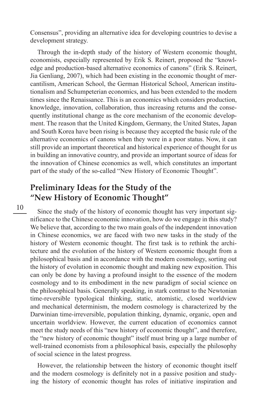Consensus", providing an alternative idea for developing countries to devise a development strategy.

Through the in-depth study of the history of Western economic thought, economists, especially represented by Erik S. Reinert, proposed the "knowledge and production-based alternative economics of canons" (Erik S. Reinert, Jia Genliang, 2007), which had been existing in the economic thought of mercantilism, American School, the German Historical School, American institutionalism and Schumpeterian economics, and has been extended to the modern times since the Renaissance. This is an economics which considers production, knowledge, innovation, collaboration, thus increasing returns and the consequently institutional change as the core mechanism of the economic development. The reason that the United Kingdom, Germany, the United States, Japan and South Korea have been rising is because they accepted the basic rule of the alternative economics of canons when they were in a poor status. Now, it can still provide an important theoretical and historical experience of thought for us in building an innovative country, and provide an important source of ideas for the innovation of Chinese economics as well, which constitutes an important part of the study of the so-called "New History of Economic Thought".

# **Preliminary Ideas for the Study of the "New History of Economic Thought"**

Since the study of the history of economic thought has very important significance to the Chinese economic innovation, how do we engage in this study? We believe that, according to the two main goals of the independent innovation in Chinese economics, we are faced with two new tasks in the study of the history of Western economic thought. The first task is to rethink the architecture and the evolution of the history of Western economic thought from a philosophical basis and in accordance with the modern cosmology, sorting out the history of evolution in economic thought and making new exposition. This can only be done by having a profound insight to the essence of the modern cosmology and to its embodiment in the new paradigm of social science on the philosophical basis. Generally speaking, in stark contrast to the Newtonian time-reversible typological thinking, static, atomistic, closed worldview and mechanical determinism, the modern cosmology is characterized by the Darwinian time-irreversible, population thinking, dynamic, organic, open and uncertain worldview. However, the current education of economics cannot meet the study needs of this "new history of economic thought", and therefore, the "new history of economic thought" itself must bring up a large number of well-trained economists from a philosophical basis, especially the philosophy of social science in the latest progress.

However, the relationship between the history of economic thought itself and the modern cosmology is definitely not in a passive position and studying the history of economic thought has roles of initiative inspiration and

#### 10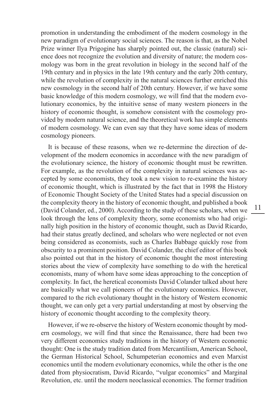promotion in understanding the embodiment of the modern cosmology in the new paradigm of evolutionary social sciences. The reason is that, as the Nobel Prize winner Ilya Prigogine has sharply pointed out, the classic (natural) science does not recognize the evolution and diversity of nature; the modern cosmology was born in the great revolution in biology in the second half of the 19th century and in physics in the late 19th century and the early 20th century, while the revolution of complexity in the natural sciences further enriched this new cosmology in the second half of 20th century. However, if we have some basic knowledge of this modern cosmology, we will find that the modern evolutionary economics, by the intuitive sense of many western pioneers in the history of economic thought, is somehow consistent with the cosmology provided by modern natural science, and the theoretical work has simple elements of modern cosmology. We can even say that they have some ideas of modern cosmology pioneers.

It is because of these reasons, when we re-determine the direction of development of the modern economics in accordance with the new paradigm of the evolutionary science, the history of economic thought must be rewritten. For example, as the revolution of the complexity in natural sciences was accepted by some economists, they took a new vision to re-examine the history of economic thought, which is illustrated by the fact that in 1998 the History of Economic Thought Society of the United States had a special discussion on the complexity theory in the history of economic thought, and published a book (David Colander, ed., 2000). According to the study of these scholars, when we look through the lens of complexity theory, some economists who had originally high position in the history of economic thought, such as David Ricardo, had their status greatly declined, and scholars who were neglected or not even being considered as economists, such as Charles Babbage quickly rose from obscurity to a prominent position. David Colander, the chief editor of this book also pointed out that in the history of economic thought the most interesting stories about the view of complexity have something to do with the heretical economists, many of whom have some ideas approaching to the conception of complexity. In fact, the heretical economists David Colander talked about here are basically what we call pioneers of the evolutionary economics. However, compared to the rich evolutionary thought in the history of Western economic thought, we can only get a very partial understanding at most by observing the history of economic thought according to the complexity theory.

However, if we re-observe the history of Western economic thought by modern cosmology, we will find that since the Renaissance, there had been two very different economics study traditions in the history of Western economic thought: One is the study tradition dated from Mercantilism, American School, the German Historical School, Schumpeterian economics and even Marxist economics until the modern evolutionary economics, while the other is the one dated from physiocratism, David Ricardo, "vulgar economics" and Marginal Revolution, etc. until the modern neoclassical economics. The former tradition

11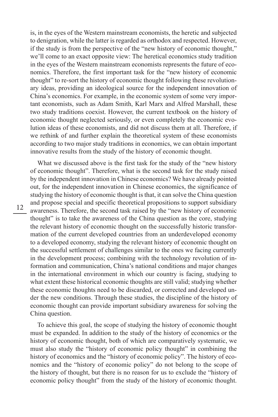is, in the eyes of the Western mainstream economists, the heretic and subjected to denigration, while the latter is regarded as orthodox and respected. However, if the study is from the perspective of the "new history of economic thought," we'll come to an exact opposite view: The heretical economics study tradition in the eyes of the Western mainstream economists represents the future of economics. Therefore, the first important task for the "new history of economic thought" to re-sort the history of economic thought following these revolutionary ideas, providing an ideological source for the independent innovation of China's economics. For example, in the economic system of some very important economists, such as Adam Smith, Karl Marx and Alfred Marshall, these two study traditions coexist. However, the current textbook on the history of economic thought neglected seriously, or even completely the economic evolution ideas of these economists, and did not discuss them at all. Therefore, if we rethink of and further explain the theoretical system of these economists according to two major study traditions in economics, we can obtain important innovative results from the study of the history of economic thought.

What we discussed above is the first task for the study of the "new history of economic thought". Therefore, what is the second task for the study raised by the independent innovation in Chinese economics? We have already pointed out, for the independent innovation in Chinese economics, the significance of studying the history of economic thought is that, it can solve the China question and propose special and specific theoretical propositions to support subsidiary awareness. Therefore, the second task raised by the "new history of economic thought" is to take the awareness of the China question as the core, studying the relevant history of economic thought on the successfully historic transformation of the current developed countries from an underdeveloped economy to a developed economy, studying the relevant history of economic thought on the successful settlement of challenges similar to the ones we facing currently in the development process; combining with the technology revolution of information and communication, China's national conditions and major changes in the international environment in which our country is facing, studying to what extent these historical economic thoughts are still valid; studying whether these economic thoughts need to be discarded, or corrected and developed under the new conditions. Through these studies, the discipline of the history of economic thought can provide important subsidiary awareness for solving the China question.

To achieve this goal, the scope of studying the history of economic thought must be expanded. In addition to the study of the history of economics or the history of economic thought, both of which are comparatively systematic, we must also study the "history of economic policy thought" in combining the history of economics and the "history of economic policy". The history of economics and the "history of economic policy" do not belong to the scope of the history of thought, but there is no reason for us to exclude the "history of economic policy thought" from the study of the history of economic thought.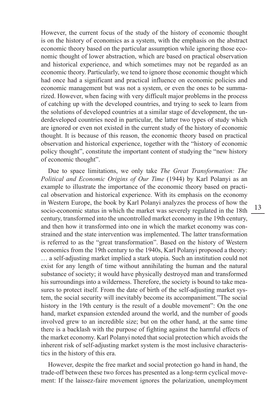However, the current focus of the study of the history of economic thought is on the history of economics as a system, with the emphasis on the abstract economic theory based on the particular assumption while ignoring those economic thought of lower abstraction, which are based on practical observation and historical experience, and which sometimes may not be regarded as an economic theory. Particularly, we tend to ignore those economic thought which had once had a significant and practical influence on economic policies and economic management but was not a system, or even the ones to be summarized. However, when facing with very difficult major problems in the process of catching up with the developed countries, and trying to seek to learn from the solutions of developed countries at a similar stage of development, the underdeveloped countries need in particular, the latter two types of study which are ignored or even not existed in the current study of the history of economic thought. It is because of this reason, the economic theory based on practical observation and historical experience, together with the "history of economic policy thought", constitute the important content of studying the "new history of economic thought".

Due to space limitations, we only take *The Great Transformation: The Political and Economic Origins of Our Time* (1944) by Karl Polanyi as an example to illustrate the importance of the economic theory based on practical observation and historical experience. With its emphasis on the economy in Western Europe, the book by Karl Polanyi analyzes the process of how the socio-economic status in which the market was severely regulated in the 18th century, transformed into the uncontrolled market economy in the 19th century, and then how it transformed into one in which the market economy was constrained and the state intervention was implemented. The latter transformation is referred to as the "great transformation". Based on the history of Western economics from the 19th century to the 1940s, Karl Polanyi proposed a theory: … a self-adjusting market implied a stark utopia. Such an institution could not exist for any length of time without annihilating the human and the natural substance of society; it would have physically destroyed man and transformed his surroundings into a wilderness. Therefore, the society is bound to take measures to protect itself. From the date of birth of the self-adjusting market system, the social security will inevitably become its accompaniment."The social history in the 19th century is the result of a double movement": On the one hand, market expansion extended around the world, and the number of goods involved grew to an incredible size; but on the other hand, at the same time there is a backlash with the purpose of fighting against the harmful effects of the market economy. Karl Polanyi noted that social protection which avoids the inherent risk of self-adjusting market system is the most inclusive characteristics in the history of this era.

However, despite the free market and social protection go hand in hand, the trade-off between these two forces has presented as a long-term cyclical movement: If the laissez-faire movement ignores the polarization, unemployment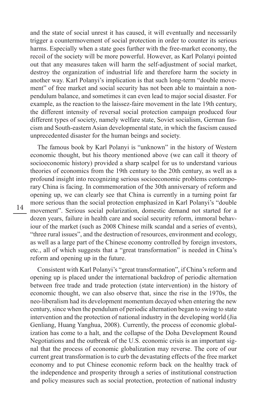and the state of social unrest it has caused, it will eventually and necessarily trigger a countermovement of social protection in order to counter its serious harms. Especially when a state goes further with the free-market economy, the recoil of the society will be more powerful. However, as Karl Polanyi pointed out that any measures taken will harm the self-adjustment of social market, destroy the organization of industrial life and therefore harm the society in another way. Karl Polanyi's implication is that such long-term "double movement" of free market and social security has not been able to maintain a nonpendulum balance, and sometimes it can even lead to major social disaster. For example, as the reaction to the laissez-faire movement in the late 19th century, the different intensity of reversal social protection campaign produced four different types of society, namely welfare state, Soviet socialism, German fascism and South-eastern Asian developmental state, in which the fascism caused unprecedented disaster for the human beings and society.

The famous book by Karl Polanyi is "unknown" in the history of Western economic thought, but his theory mentioned above (we can call it theory of socioeconomic history) provided a sharp scalpel for us to understand various theories of economics from the 19th century to the 20th century, as well as a profound insight into recognizing serious socioeconomic problems contemporary China is facing. In commemoration of the 30th anniversary of reform and opening up, we can clearly see that China is currently in a turning point far more serious than the social protection emphasized in Karl Polanyi's "double movement". Serious social polarization, domestic demand not started for a dozen years, failure in health care and social security reform, immoral behaviour of the market (such as 2008 Chinese milk scandal and a series of events), "three rural issues", and the destruction of resources, environment and ecology, as well as a large part of the Chinese economy controlled by foreign investors, etc., all of which suggests that a "great transformation" is needed in China's reform and opening up in the future.

Consistent with Karl Polanyi's "great transformation", if China's reform and opening up is placed under the international backdrop of periodic alternation between free trade and trade protection (state intervention) in the history of economic thought, we can also observe that, since the rise in the 1970s, the neo-liberalism had its development momentum decayed when entering the new century, since when the pendulum of periodic alternation began to swing to state intervention and the protection of national industry in the developing world (Jia Genliang, Huang Yanghua, 2008). Currently, the process of economic globalization has come to a halt, and the collapse of the Doha Development Round Negotiations and the outbreak of the U.S. economic crisis is an important signal that the process of economic globalization may reverse. The core of our current great transformation is to curb the devastating effects of the free market economy and to put Chinese economic reform back on the healthy track of the independence and prosperity through a series of institutional construction and policy measures such as social protection, protection of national industry

14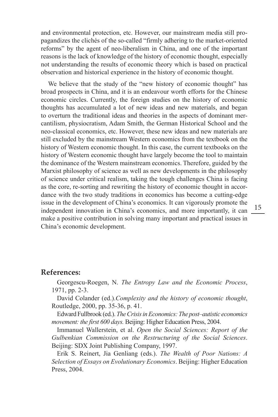and environmental protection, etc. However, our mainstream media still propagandizes the clichés of the so-called "firmly adhering to the market-oriented reforms" by the agent of neo-liberalism in China, and one of the important reasons is the lack of knowledge of the history of economic thought, especially not understanding the results of economic theory which is based on practical observation and historical experience in the history of economic thought.

We believe that the study of the "new history of economic thought" has broad prospects in China, and it is an endeavour worth efforts for the Chinese economic circles. Currently, the foreign studies on the history of economic thoughts has accumulated a lot of new ideas and new materials, and began to overturn the traditional ideas and theories in the aspects of dominant mercantilism, physiocratism, Adam Smith, the German Historical School and the neo-classical economics, etc. However, these new ideas and new materials are still excluded by the mainstream Western economics from the textbook on the history of Western economic thought. In this case, the current textbooks on the history of Western economic thought have largely become the tool to maintain the dominance of the Western mainstream economics. Therefore, guided by the Marxist philosophy of science as well as new developments in the philosophy of science under critical realism, taking the tough challenges China is facing as the core, re-sorting and rewriting the history of economic thought in accordance with the two study traditions in economics has become a cutting-edge issue in the development of China's economics. It can vigorously promote the independent innovation in China's economics, and more importantly, it can make a positive contribution in solving many important and practical issues in China's economic development.

#### **References:**

Georgescu-Roegen, N. *The Entropy Law and the Economic Process*, 1971, pp. 2-3.

David Colander (ed.).*Complexity and the history of economic thought*, Routledge, 2000, pp. 35-36, p. 41.

Edward Fullbrook (ed.). *The Crisis in Economics: The post–autistic economics movement: the first 600 days.* Beijing: Higher Education Press, 2004.

Immanuel Wallerstein, et al. *Open the Social Sciences: Report of the Gulbenkian Commission on the Restructuring of the Social Sciences*. Beijing: SDX Joint Publishing Company, 1997.

Erik S. Reinert, Jia Genliang (eds.). *The Wealth of Poor Nations: A Selection of Essays on Evolutionary Economics*. Beijing: Higher Education Press, 2004.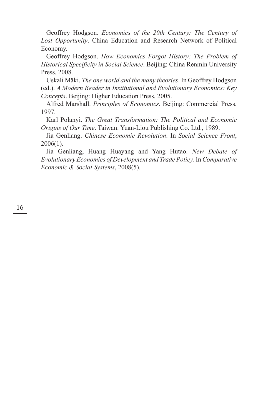Geoffrey Hodgson. *Economics of the 20th Century: The Century of Lost Opportunity*. China Education and Research Network of Political Economy.

Geoffrey Hodgson. *How Economics Forgot History: The Problem of Historical Specificity in Social Science*. Beijing: China Renmin University Press, 2008.

Uskali Mäki. *The one world and the many theories*. In Geoffrey Hodgson (ed.). *A Modern Reader in Institutional and Evolutionary Economics: Key Concepts*. Beijing: Higher Education Press, 2005.

Alfred Marshall. *Principles of Economics*. Beijing: Commercial Press, 1997.

Karl Polanyi. *The Great Transformation: The Political and Economic Origins of Our Time*. Taiwan: Yuan-Liou Publishing Co. Ltd., 1989.

Jia Genliang. *Chinese Economic Revolution*. In *Social Science Front*, 2006(1).

Jia Genliang, Huang Huayang and Yang Hutao. *New Debate of Evolutionary Economics of Development and Trade Policy*. In *Comparative Economic & Social Systems*, 2008(5).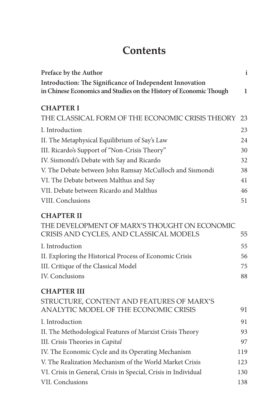# **Contents**

| Preface by the Author                                                                                                          | $\mathbf{i}$ |
|--------------------------------------------------------------------------------------------------------------------------------|--------------|
| Introduction: The Significance of Independent Innovation<br>in Chinese Economics and Studies on the History of Economic Though | $\mathbf{1}$ |
| <b>CHAPTER I</b>                                                                                                               |              |
| THE CLASSICAL FORM OF THE ECONOMIC CRISIS THEORY                                                                               | 23           |
| I. Introduction                                                                                                                | 23           |
| II. The Metaphysical Equilibrium of Say's Law                                                                                  | 24           |
| III. Ricardo's Support of "Non-Crisis Theory"                                                                                  | 30           |
| IV. Sismondi's Debate with Say and Ricardo                                                                                     | 32           |
| V. The Debate between John Ramsay McCulloch and Sismondi                                                                       | 38           |
| VI. The Debate between Malthus and Say                                                                                         | 41           |
| VII. Debate between Ricardo and Malthus                                                                                        | 46           |
| VIII. Conclusions                                                                                                              | 51           |
| <b>CHAPTER II</b>                                                                                                              |              |
| THE DEVELOPMENT OF MARX'S THOUGHT ON ECONOMIC                                                                                  |              |
| CRISIS AND CYCLES, AND CLASSICAL MODELS                                                                                        | 55           |
| I. Introduction                                                                                                                | 55           |
| II. Exploring the Historical Process of Economic Crisis                                                                        | 56           |
| III. Critique of the Classical Model                                                                                           | 75           |
| <b>IV.</b> Conclusions                                                                                                         | 88           |
| <b>CHAPTER III</b>                                                                                                             |              |
| STRUCTURE, CONTENT AND FEATURES OF MARX'S                                                                                      |              |
| ANALYTIC MODEL OF THE ECONOMIC CRISIS                                                                                          | 91           |
| I. Introduction                                                                                                                | 91           |
| II. The Methodological Features of Marxist Crisis Theory                                                                       | 93           |
| III. Crisis Theories in Capital                                                                                                | 97           |
| IV. The Economic Cycle and its Operating Mechanism                                                                             | 119          |
| V. The Realization Mechanism of the World Market Crisis                                                                        | 123          |
| VI. Crisis in General, Crisis in Special, Crisis in Individual                                                                 | 130          |
| VII. Conclusions                                                                                                               | 138          |
|                                                                                                                                |              |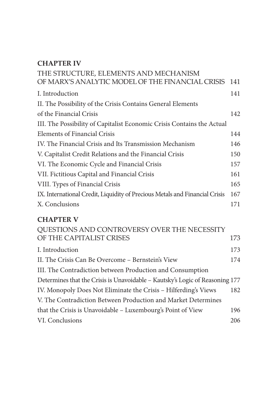## **CHAPTER IV**

| THE STRUCTURE, ELEMENTS AND MECHANISM                                       |     |
|-----------------------------------------------------------------------------|-----|
| OF MARX'S ANALYTIC MODEL OF THE FINANCIAL CRISIS 141                        |     |
| I. Introduction                                                             | 141 |
| II. The Possibility of the Crisis Contains General Elements                 |     |
| of the Financial Crisis                                                     | 142 |
| III. The Possibility of Capitalist Economic Crisis Contains the Actual      |     |
| <b>Elements of Financial Crisis</b>                                         | 144 |
| IV. The Financial Crisis and Its Transmission Mechanism                     | 146 |
| V. Capitalist Credit Relations and the Financial Crisis                     | 150 |
| VI. The Economic Cycle and Financial Crisis                                 | 157 |
| VII. Fictitious Capital and Financial Crisis                                | 161 |
| VIII. Types of Financial Crisis                                             | 165 |
| IX. International Credit, Liquidity of Precious Metals and Financial Crisis | 167 |
| X. Conclusions                                                              | 171 |

## **CHAPTER V**

| QUESTIONS AND CONTROVERSY OVER THE NECESSITY                                 |     |
|------------------------------------------------------------------------------|-----|
| OF THE CAPITALIST CRISES                                                     | 173 |
| I. Introduction                                                              | 173 |
| II. The Crisis Can Be Overcome - Bernstein's View                            | 174 |
| III. The Contradiction between Production and Consumption                    |     |
| Determines that the Crisis is Unavoidable - Kautsky's Logic of Reasoning 177 |     |
| IV. Monopoly Does Not Eliminate the Crisis - Hilferding's Views              | 182 |
| V. The Contradiction Between Production and Market Determines                |     |
| that the Crisis is Unavoidable - Luxembourg's Point of View                  | 196 |
| VI. Conclusions                                                              | 206 |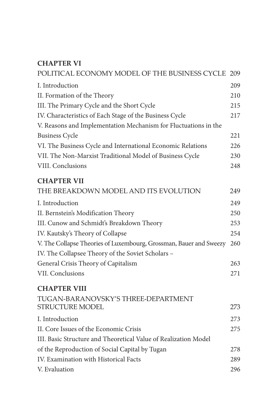# **Chapter VI**

| POLITICAL ECONOMY MODEL OF THE BUSINESS CYCLE                      | 209 |
|--------------------------------------------------------------------|-----|
| I. Introduction                                                    | 209 |
| II. Formation of the Theory                                        | 210 |
| III. The Primary Cycle and the Short Cycle                         | 215 |
| IV. Characteristics of Each Stage of the Business Cycle            | 217 |
| V. Reasons and Implementation Mechanism for Fluctuations in the    |     |
| <b>Business Cycle</b>                                              | 221 |
| VI. The Business Cycle and International Economic Relations        | 226 |
| VII. The Non-Marxist Traditional Model of Business Cycle           | 230 |
| VIII. Conclusions                                                  | 248 |
| <b>CHAPTER VII</b>                                                 |     |
| THE BREAKDOWN MODEL AND ITS EVOLUTION                              | 249 |
| I. Introduction                                                    | 249 |
| II. Bernstein's Modification Theory                                | 250 |
| III. Cunow and Schmidt's Breakdown Theory                          | 253 |
| IV. Kautsky's Theory of Collapse                                   | 254 |
| V. The Collapse Theories of Luxembourg, Grossman, Bauer and Sweezy | 260 |
| IV. The Collapsee Theory of the Soviet Scholars -                  |     |
| General Crisis Theory of Capitalism                                | 263 |
| VII. Conclusions                                                   | 271 |
| <b>CHAPTER VIII</b>                                                |     |
| TUGAN-BARANOVSKY'S THREE-DEPARTMENT                                |     |
| STRUCTURE MODEL                                                    | 273 |
| I. Introduction                                                    | 273 |
| II. Core Issues of the Economic Crisis                             | 275 |
| III. Basic Structure and Theoretical Value of Realization Model    |     |
| of the Reproduction of Social Capital by Tugan                     | 278 |
| IV. Examination with Historical Facts                              | 289 |
| V. Evaluation                                                      | 296 |
|                                                                    |     |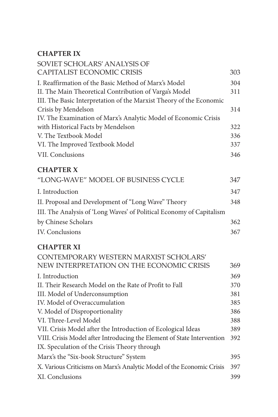# **Chapter IX**

| SOVIET SCHOLARS' ANALYSIS OF                                           |     |
|------------------------------------------------------------------------|-----|
| CAPITALIST ECONOMIC CRISIS                                             | 303 |
| I. Reaffirmation of the Basic Method of Marx's Model                   | 304 |
| II. The Main Theoretical Contribution of Varga's Model                 | 311 |
| III. The Basic Interpretation of the Marxist Theory of the Economic    |     |
| Crisis by Mendelson                                                    | 314 |
| IV. The Examination of Marx's Analytic Model of Economic Crisis        |     |
| with Historical Facts by Mendelson                                     | 322 |
| V. The Textbook Model                                                  | 336 |
| VI. The Improved Textbook Model                                        | 337 |
| VII. Conclusions                                                       | 346 |
| <b>CHAPTER X</b>                                                       |     |
| "LONG-WAVE" MODEL OF BUSINESS CYCLE                                    | 347 |
| I. Introduction                                                        | 347 |
| II. Proposal and Development of "Long Wave" Theory                     | 348 |
| III. The Analysis of 'Long Waves' of Political Economy of Capitalism   |     |
| by Chinese Scholars                                                    | 362 |
| <b>IV. Conclusions</b>                                                 | 367 |
| <b>CHAPTER XI</b>                                                      |     |
| CONTEMPORARY WESTERN MARXIST SCHOLARS'                                 |     |
| NEW INTERPRETATION ON THE ECONOMIC CRISIS                              | 369 |
| I. Introduction                                                        | 369 |
| II. Their Research Model on the Rate of Profit to Fall                 | 370 |
| III. Model of Underconsumption                                         | 381 |
| IV. Model of Overaccumulation                                          | 385 |
| V. Model of Disproportionality                                         | 386 |
| VI. Three-Level Model                                                  | 388 |
| VII. Crisis Model after the Introduction of Ecological Ideas           | 389 |
| VIII. Crisis Model after Introducing the Element of State Intervention | 392 |
| IX. Speculation of the Crisis Theory through                           |     |
| Marx's the "Six-book Structure" System                                 | 395 |
| X. Various Criticisms on Marx's Analytic Model of the Economic Crisis  | 397 |
| XI. Conclusions                                                        | 399 |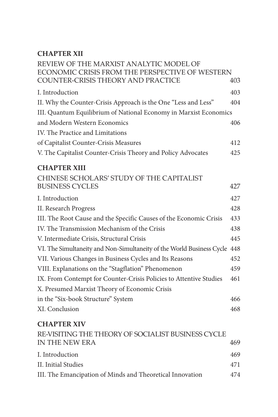### **Chapter XII**

| REVIEW OF THE MARXIST ANALYTIC MODEL OF<br>ECONOMIC CRISIS FROM THE PERSPECTIVE OF WESTERN |     |
|--------------------------------------------------------------------------------------------|-----|
| <b>COUNTER-CRISIS THEORY AND PRACTICE</b>                                                  | 403 |
| I. Introduction                                                                            | 403 |
| II. Why the Counter-Crisis Approach is the One "Less and Less"                             | 404 |
| III. Quantum Equilibrium of National Economy in Marxist Economics                          |     |
| and Modern Western Economics                                                               | 406 |
| IV. The Practice and Limitations                                                           |     |
| of Capitalist Counter-Crisis Measures                                                      | 412 |
| V. The Capitalist Counter-Crisis Theory and Policy Advocates                               | 425 |
| <b>CHAPTER XIII</b>                                                                        |     |
| CHINESE SCHOLARS' STUDY OF THE CAPITALIST                                                  |     |
| <b>BUSINESS CYCLES</b>                                                                     | 427 |
| I. Introduction                                                                            | 427 |
| II. Research Progress                                                                      | 428 |
| III. The Root Cause and the Specific Causes of the Economic Crisis                         | 433 |
| IV. The Transmission Mechanism of the Crisis                                               | 438 |
| V. Intermediate Crisis, Structural Crisis                                                  | 445 |
| VI. The Simultaneity and Non-Simultaneity of the World Business Cycle 448                  |     |
| VII. Various Changes in Business Cycles and Its Reasons                                    | 452 |
| VIII. Explanations on the "Stagflation" Phenomenon                                         | 459 |
| IX. From Contempt for Counter-Crisis Policies to Attentive Studies                         | 461 |
| X. Presumed Marxist Theory of Economic Crisis                                              |     |
| in the "Six-book Structure" System                                                         | 466 |
| XI. Conclusion                                                                             | 468 |
| <b>CHAPTER XIV</b>                                                                         |     |
| RE-VISITING THE THEORY OF SOCIALIST BUSINESS CYCLE                                         |     |
| IN THE NEW ERA                                                                             | 469 |
| I. Introduction                                                                            | 469 |
| II. Initial Studies                                                                        | 471 |
| III. The Emancipation of Minds and Theoretical Innovation                                  | 474 |